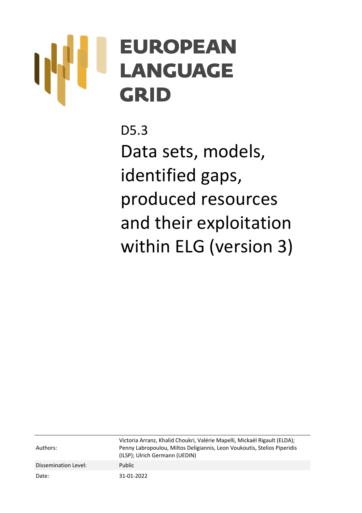# **EUROPEAN LANGUAGE** GRID

D5.3 Data sets, models, identified gaps, produced resources and their exploitation within ELG (version 3)

Authors: Victoria Arranz, Khalid Choukri, Valérie Mapelli, Mickaël Rigault (ELDA); Penny Labropoulou, Miltos Deligiannis, Leon Voukoutis, Stelios Piperidis (ILSP); Ulrich Germann (UEDIN) Dissemination Level: Public Date: 31-01-2022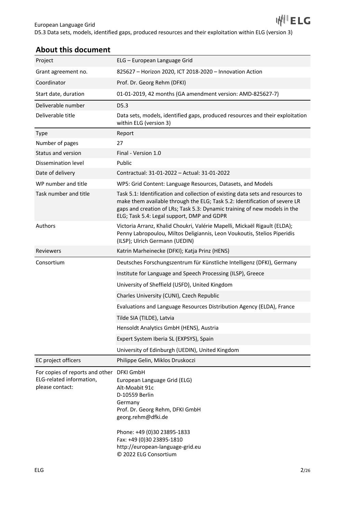# **About this document**

| Project                                                                                  | ELG - European Language Grid                                                                                                                                                                                                                                                            |  |
|------------------------------------------------------------------------------------------|-----------------------------------------------------------------------------------------------------------------------------------------------------------------------------------------------------------------------------------------------------------------------------------------|--|
| Grant agreement no.                                                                      | 825627 - Horizon 2020, ICT 2018-2020 - Innovation Action                                                                                                                                                                                                                                |  |
| Coordinator                                                                              | Prof. Dr. Georg Rehm (DFKI)                                                                                                                                                                                                                                                             |  |
| Start date, duration                                                                     | 01-01-2019, 42 months (GA amendment version: AMD-825627-7)                                                                                                                                                                                                                              |  |
| Deliverable number                                                                       | D <sub>5.3</sub>                                                                                                                                                                                                                                                                        |  |
| Deliverable title                                                                        | Data sets, models, identified gaps, produced resources and their exploitation<br>within ELG (version 3)                                                                                                                                                                                 |  |
| <b>Type</b>                                                                              | Report                                                                                                                                                                                                                                                                                  |  |
| Number of pages                                                                          | 27                                                                                                                                                                                                                                                                                      |  |
| Status and version                                                                       | Final - Version 1.0                                                                                                                                                                                                                                                                     |  |
| Dissemination level                                                                      | Public                                                                                                                                                                                                                                                                                  |  |
| Date of delivery                                                                         | Contractual: 31-01-2022 - Actual: 31-01-2022                                                                                                                                                                                                                                            |  |
| WP number and title                                                                      | WP5: Grid Content: Language Resources, Datasets, and Models                                                                                                                                                                                                                             |  |
| Task number and title                                                                    | Task 5.1: Identification and collection of existing data sets and resources to<br>make them available through the ELG; Task 5.2: Identification of severe LR<br>gaps and creation of LRs; Task 5.3: Dynamic training of new models in the<br>ELG; Task 5.4: Legal support, DMP and GDPR |  |
| Authors                                                                                  | Victoria Arranz, Khalid Choukri, Valérie Mapelli, Mickaël Rigault (ELDA);<br>Penny Labropoulou, Miltos Deligiannis, Leon Voukoutis, Stelios Piperidis<br>(ILSP); Ulrich Germann (UEDIN)                                                                                                 |  |
| Reviewers                                                                                | Katrin Marheinecke (DFKI); Katja Prinz (HENS)                                                                                                                                                                                                                                           |  |
| Consortium                                                                               | Deutsches Forschungszentrum für Künstliche Intelligenz (DFKI), Germany                                                                                                                                                                                                                  |  |
|                                                                                          | Institute for Language and Speech Processing (ILSP), Greece                                                                                                                                                                                                                             |  |
|                                                                                          | University of Sheffield (USFD), United Kingdom                                                                                                                                                                                                                                          |  |
|                                                                                          | Charles University (CUNI), Czech Republic                                                                                                                                                                                                                                               |  |
|                                                                                          | Evaluations and Language Resources Distribution Agency (ELDA), France                                                                                                                                                                                                                   |  |
|                                                                                          | Tilde SIA (TILDE), Latvia                                                                                                                                                                                                                                                               |  |
|                                                                                          | Hensoldt Analytics GmbH (HENS), Austria                                                                                                                                                                                                                                                 |  |
|                                                                                          | Expert System Iberia SL (EXPSYS), Spain                                                                                                                                                                                                                                                 |  |
|                                                                                          | University of Edinburgh (UEDIN), United Kingdom                                                                                                                                                                                                                                         |  |
| EC project officers                                                                      | Philippe Gelin, Miklos Druskoczi                                                                                                                                                                                                                                                        |  |
| For copies of reports and other DFKI GmbH<br>ELG-related information,<br>please contact: | European Language Grid (ELG)<br>Alt-Moabit 91c<br>D-10559 Berlin<br>Germany<br>Prof. Dr. Georg Rehm, DFKI GmbH<br>georg.rehm@dfki.de<br>Phone: +49 (0)30 23895-1833<br>Fax: +49 (0)30 23895-1810<br>http://european-language-grid.eu<br>© 2022 ELG Consortium                           |  |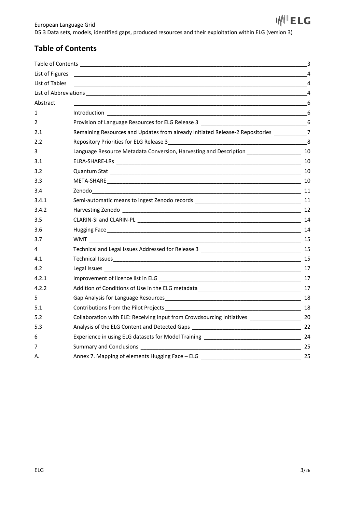# **Table of Contents**

| List of Figures |                                                                                            |                |
|-----------------|--------------------------------------------------------------------------------------------|----------------|
| List of Tables  |                                                                                            |                |
|                 |                                                                                            | $\overline{4}$ |
| Abstract        |                                                                                            | 6              |
| 1               |                                                                                            |                |
| 2               | Provision of Language Resources for ELG Release 3 _______________________________6         |                |
| 2.1             | Remaining Resources and Updates from already initiated Release-2 Repositories ___________7 |                |
| 2.2             |                                                                                            |                |
| 3               |                                                                                            |                |
| 3.1             |                                                                                            |                |
| 3.2             |                                                                                            |                |
| 3.3             |                                                                                            |                |
| 3.4             |                                                                                            |                |
| 3.4.1           |                                                                                            |                |
| 3.4.2           |                                                                                            |                |
| 3.5             |                                                                                            |                |
| 3.6             |                                                                                            |                |
| 3.7             |                                                                                            |                |
| 4               |                                                                                            |                |
| 4.1             |                                                                                            |                |
| 4.2             |                                                                                            |                |
| 4.2.1           |                                                                                            |                |
| 4.2.2           |                                                                                            |                |
| 5               |                                                                                            |                |
| 5.1             |                                                                                            |                |
| 5.2             |                                                                                            |                |
| 5.3             |                                                                                            |                |
| 6               |                                                                                            |                |
| 7               |                                                                                            |                |
| А.              |                                                                                            |                |
|                 |                                                                                            |                |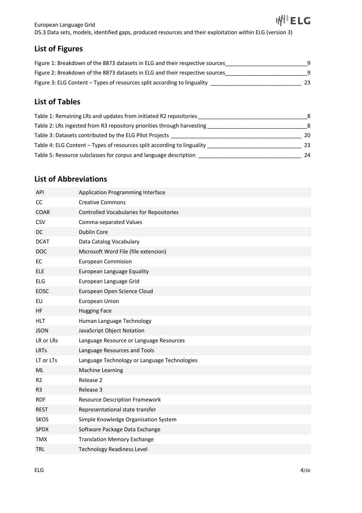I<sup>||Ⅱ</sup>ELG European Language Grid D5.3 Data sets, models, identified gaps, produced resources and their exploitation within ELG (version 3)

# **List of Figures**

| Figure 1: Breakdown of the 8873 datasets in ELG and their respective sources |    |
|------------------------------------------------------------------------------|----|
| Figure 2: Breakdown of the 8873 datasets in ELG and their respective sources | q  |
| Figure 3: ELG Content – Types of resources split according to linguality     | 23 |

## **List of Tables**

| Table 1: Remaining LRs and updates from initiated R2 repositories       | 8  |
|-------------------------------------------------------------------------|----|
| Table 2: LRs ingested from R3 repository priorities through harvesting  | 8  |
| Table 3: Datasets contributed by the ELG Pilot Projects                 | 20 |
| Table 4: ELG Content - Types of resources split according to linguality | 23 |
| Table 5: Resource subclasses for corpus and language description        | 24 |

# **List of Abbreviations**

| API            | Application Programming Interface               |
|----------------|-------------------------------------------------|
| <b>CC</b>      | <b>Creative Commons</b>                         |
| <b>COAR</b>    | <b>Controlled Vocabularies for Repositories</b> |
| CSV            | Comma-separated Values                          |
| <b>DC</b>      | Dublin Core                                     |
| <b>DCAT</b>    | Data Catalog Vocabulary                         |
| <b>DOC</b>     | Microsoft Word File (file extension)            |
| EC             | <b>European Commision</b>                       |
| <b>ELE</b>     | European Language Equality                      |
| <b>ELG</b>     | European Language Grid                          |
| EOSC           | European Open Science Cloud                     |
| EU             | European Union                                  |
| HF             | <b>Hugging Face</b>                             |
| <b>HLT</b>     | Human Language Technology                       |
| <b>JSON</b>    | JavaScript Object Notation                      |
| LR or LRs      | Language Resource or Language Resources         |
| <b>LRTs</b>    | Language Resources and Tools                    |
| LT or LTs      | Language Technology or Language Technologies    |
| <b>ML</b>      | Machine Learning                                |
| R <sub>2</sub> | Release 2                                       |
| R <sub>3</sub> | Release 3                                       |
| <b>RDF</b>     | <b>Resource Description Framework</b>           |
| <b>REST</b>    | Representational state transfer                 |
| <b>SKOS</b>    | Simple Knowledge Organisation System            |
| SPDX           | Software Package Data Exchange                  |
| <b>TMX</b>     | <b>Translation Memory Exchange</b>              |
| <b>TRL</b>     | <b>Technology Readiness Level</b>               |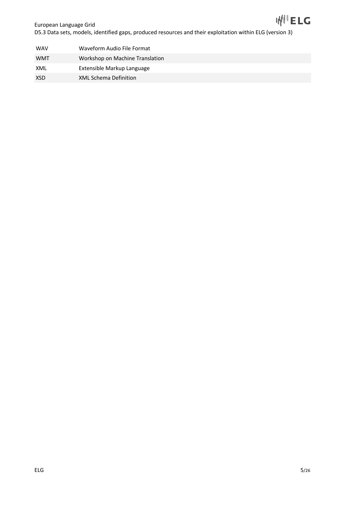

European Language Grid D5.3 Data sets, models, identified gaps, produced resources and their exploitation within ELG (version 3)

| <b>WAV</b> | Waveform Audio File Format      |
|------------|---------------------------------|
| <b>WMT</b> | Workshop on Machine Translation |
| XML        | Extensible Markup Language      |
| <b>XSD</b> | <b>XML Schema Definition</b>    |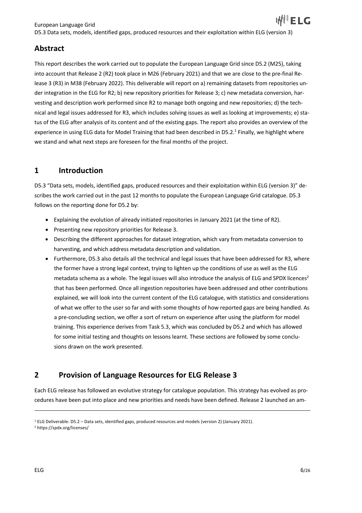## **Abstract**

This report describes the work carried out to populate the European Language Grid since D5.2 (M25), taking into account that Release 2 (R2) took place in M26 (February 2021) and that we are close to the pre-final Release 3 (R3) in M38 (February 2022). This deliverable will report on a) remaining datasets from repositories under integration in the ELG for R2; b) new repository priorities for Release 3; c) new metadata conversion, harvesting and description work performed since R2 to manage both ongoing and new repositories; d) the technical and legal issues addressed for R3, which includes solving issues as well as looking at improvements; e) status of the ELG after analysis of its content and of the existing gaps. The report also provides an overview of the experience in using ELG data for Model Training that had been described in D5.2.<sup>1</sup> Finally, we highlight where we stand and what next steps are foreseen for the final months of the project.

## **1 Introduction**

D5.3 "Data sets, models, identified gaps, produced resources and their exploitation within ELG (version 3)" describes the work carried out in the past 12 months to populate the European Language Grid catalogue. D5.3 follows on the reporting done for D5.2 by:

- Explaining the evolution of already initiated repositories in January 2021 (at the time of R2).
- Presenting new repository priorities for Release 3.
- Describing the different approaches for dataset integration, which vary from metadata conversion to harvesting, and which address metadata description and validation.
- Furthermore, D5.3 also details all the technical and legal issues that have been addressed for R3, where the former have a strong legal context, trying to lighten up the conditions of use as well as the ELG metadata schema as a whole. The legal issues will also introduce the analysis of ELG and SPDX licences<sup>2</sup> that has been performed. Once all ingestion repositories have been addressed and other contributions explained, we will look into the current content of the ELG catalogue, with statistics and considerations of what we offer to the user so far and with some thoughts of how reported gaps are being handled. As a pre-concluding section, we offer a sort of return on experience after using the platform for model training. This experience derives from Task 5.3, which was concluded by D5.2 and which has allowed for some initial testing and thoughts on lessons learnt. These sections are followed by some conclusions drawn on the work presented.

# **2 Provision of Language Resources for ELG Release 3**

Each ELG release has followed an evolutive strategy for catalogue population. This strategy has evolved as procedures have been put into place and new priorities and needs have been defined. Release 2 launched an am-

<sup>1</sup> ELG Deliverable: D5.2 – Data sets, identified gaps, produced resources and models (version 2) (January 2021).

<sup>2</sup> https://spdx.org/licenses/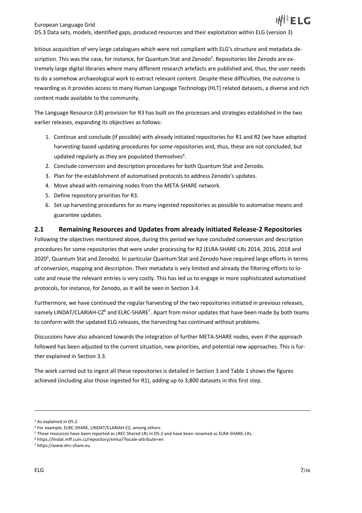bitious acquisition of very large catalogues which were not compliant with ELG's structure and metadata description. This was the case, for instance, for Quantum Stat and Zenodo<sup>3</sup>. Repositories like Zenodo are extremely large digital libraries where many different research artefacts are published and, thus, the user needs to do a somehow archaeological work to extract relevant content. Despite these difficulties, the outcome is rewarding as it provides access to many Human Language Technology (HLT) related datasets, a diverse and rich content made available to the community.

The Language Resource (LR) provision for R3 has built on the processes and strategies established in the two earlier releases, expanding its objectives as follows:

- 1. Continue and conclude (if possible) with already initiated repositories for R1 and R2 (we have adopted harvesting-based updating procedures for some repositories and, thus, these are not concluded, but updated regularly as they are populated themselves $4$ .
- 2. Conclude conversion and description procedures for both Quantum Stat and Zenodo.
- 3. Plan for the establishment of automatised protocols to address Zenodo's updates.
- 4. Move ahead with remaining nodes from the META-SHARE network.
- 5. Define repository priorities for R3.
- 6. Set up harvesting procedures for as many ingested repositories as possible to automatise means and guarantee updates.

## **2.1 Remaining Resources and Updates from already initiated Release-2 Repositories**

Following the objectives mentioned above, during this period we have concluded conversion and description procedures for some repositories that were under processing for R2 (ELRA-SHARE-LRs 2014, 2016, 2018 and 2020<sup>5</sup>, Quantum Stat and Zenodo). In particular Quantum Stat and Zenodo have required large efforts in terms of conversion, mapping and description. Their metadata is very limited and already the filtering efforts to locate and reuse the relevant entries is very costly. This has led us to engage in more sophisticated automatised protocols, for instance, for Zenodo, as it will be seen in Section 3.4.

Furthermore, we have continued the regular harvesting of the two repositories initiated in previous releases, namely LINDAT/CLARIAH-CZ<sup>6</sup> and ELRC-SHARE<sup>7</sup>. Apart from minor updates that have been made by both teams to conform with the updated ELG releases, the harvesting has continued without problems.

Discussions have also advanced towards the integration of further META-SHARE nodes, even if the approach followed has been adjusted to the current situation, new priorities, and potential new approaches. This is further explained in Section 3.3.

The work carried out to ingest all these repositories is detailed in Section 3 and Table 1 shows the figures achieved (including also those ingested for R1), adding up to 3,800 datasets in this first step.

<sup>&</sup>lt;sup>3</sup> As explained in D5.2.

<sup>4</sup> For example, ELRC-SHARE, LINDAT/CLARIAH-CZ, among others.

<sup>5</sup> These resources have been reported as LREC Shared LRs in D5.2 and have been renamed as ELRA-SHARE-LRs.

<sup>6</sup> https://lindat.mff.cuni.cz/repository/xmlui/?locale-attribute=en

<sup>7</sup> https://www.elrc-share.eu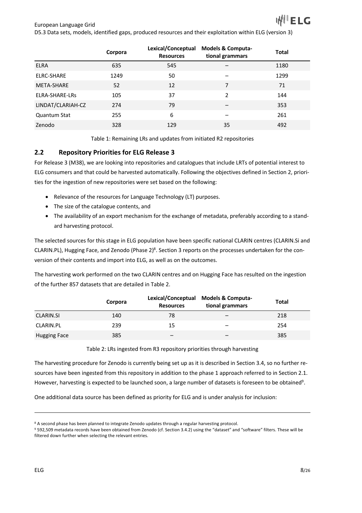|                   | Corpora | Lexical/Conceptual<br><b>Resources</b> | <b>Models &amp; Computa-</b><br>tional grammars | <b>Total</b> |
|-------------------|---------|----------------------------------------|-------------------------------------------------|--------------|
| <b>ELRA</b>       | 635     | 545                                    |                                                 | 1180         |
| ELRC-SHARE        | 1249    | 50                                     |                                                 | 1299         |
| META-SHARE        | 52      | 12                                     | 7                                               | 71           |
| ELRA-SHARE-LRs    | 105     | 37                                     | $\mathfrak{p}$                                  | 144          |
| LINDAT/CLARIAH-CZ | 274     | 79                                     |                                                 | 353          |
| Quantum Stat      | 255     | 6                                      |                                                 | 261          |
| Zenodo            | 328     | 129                                    | 35                                              | 492          |

Table 1: Remaining LRs and updates from initiated R2 repositories

## **2.2 Repository Priorities for ELG Release 3**

For Release 3 (M38), we are looking into repositories and catalogues that include LRTs of potential interest to ELG consumers and that could be harvested automatically. Following the objectives defined in Section 2, priorities for the ingestion of new repositories were set based on the following:

- Relevance of the resources for Language Technology (LT) purposes.
- The size of the catalogue contents, and
- The availability of an export mechanism for the exchange of metadata, preferably according to a standard harvesting protocol.

The selected sources for this stage in ELG population have been specific national CLARIN centres (CLARIN.Si and CLARIN.PL), Hugging Face, and Zenodo (Phase 2)<sup>8</sup>. Section 3 reports on the processes undertaken for the conversion of their contents and import into ELG, as well as on the outcomes.

The harvesting work performed on the two CLARIN centres and on Hugging Face has resulted on the ingestion of the further 857 datasets that are detailed in Table 2.

|                     | Corpora | <b>Resources</b> | Lexical/Conceptual Models & Computa-<br>tional grammars | <b>Total</b> |
|---------------------|---------|------------------|---------------------------------------------------------|--------------|
| <b>CLARIN.SI</b>    | 140     | 78               |                                                         | 218          |
| CLARIN.PL           | 239     | 15               | -                                                       | 254          |
| <b>Hugging Face</b> | 385     |                  |                                                         | 385          |

Table 2: LRs ingested from R3 repository priorities through harvesting

The harvesting procedure for Zenodo is currently being set up as it is described in Section 3.4, so no further resources have been ingested from this repository in addition to the phase 1 approach referred to in Section 2.1. However, harvesting is expected to be launched soon, a large number of datasets is foreseen to be obtained<sup>9</sup>.

One additional data source has been defined as priority for ELG and is under analysis for inclusion:

<sup>&</sup>lt;sup>8</sup> A second phase has been planned to integrate Zenodo updates through a regular harvesting protocol.

<sup>9</sup> 592,509 metadata records have been obtained from Zenodo (cf. Section 3.4.2) using the "dataset" and "software" filters. These will be filtered down further when selecting the relevant entries.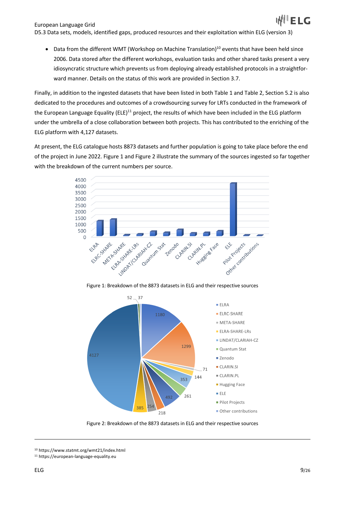• Data from the different WMT (Workshop on Machine Translation)<sup>10</sup> events that have been held since 2006. Data stored after the different workshops, evaluation tasks and other shared tasks present a very idiosyncratic structure which prevents us from deploying already established protocols in a straightforward manner. Details on the status of this work are provided in Section 3.7.

Finally, in addition to the ingested datasets that have been listed in both Table 1 and Table 2, Section 5.2 is also dedicated to the procedures and outcomes of a crowdsourcing survey for LRTs conducted in the framework of the European Language Equality (ELE)<sup>11</sup> project, the results of which have been included in the ELG platform under the umbrella of a close collaboration between both projects. This has contributed to the enriching of the ELG platform with 4,127 datasets.

At present, the ELG catalogue hosts 8873 datasets and further population is going to take place before the end of the project in June 2022. Figure 1 and Figure 2 illustrate the summary of the sources ingested so far together with the breakdown of the current numbers per source.



Figure 1: Breakdown of the 8873 datasets in ELG and their respective sources



Figure 2: Breakdown of the 8873 datasets in ELG and their respective sources

<sup>10</sup> https://www.statmt.org/wmt21/index.html

<sup>11</sup> https://european-language-equality.eu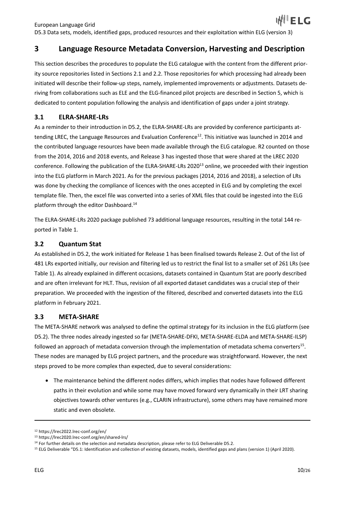# **3 Language Resource Metadata Conversion, Harvesting and Description**

This section describes the procedures to populate the ELG catalogue with the content from the different priority source repositories listed in Sections 2.1 and 2.2. Those repositories for which processing had already been initiated will describe their follow-up steps, namely, implemented improvements or adjustments. Datasets deriving from collaborations such as ELE and the ELG-financed pilot projects are described in Section 5, which is dedicated to content population following the analysis and identification of gaps under a joint strategy.

## **3.1 ELRA-SHARE-LRs**

As a reminder to their introduction in D5.2, the ELRA-SHARE-LRs are provided by conference participants attending LREC, the Language Resources and Evaluation Conference<sup>12</sup>. This initiative was launched in 2014 and the contributed language resources have been made available through the ELG catalogue. R2 counted on those from the 2014, 2016 and 2018 events, and Release 3 has ingested those that were shared at the LREC 2020 conference. Following the publication of the ELRA-SHARE-LRs 2020<sup>13</sup> online, we proceeded with their ingestion into the ELG platform in March 2021. As for the previous packages (2014, 2016 and 2018), a selection of LRs was done by checking the compliance of licences with the ones accepted in ELG and by completing the excel template file. Then, the excel file was converted into a series of XML files that could be ingested into the ELG platform through the editor Dashboard.14

The ELRA-SHARE-LRs 2020 package published 73 additional language resources, resulting in the total 144 reported in Table 1.

#### **3.2 Quantum Stat**

As established in D5.2, the work initiated for Release 1 has been finalised towards Release 2. Out of the list of 481 LRs exported initially, our revision and filtering led us to restrict the final list to a smaller set of 261 LRs (see Table 1). As already explained in different occasions, datasets contained in Quantum Stat are poorly described and are often irrelevant for HLT. Thus, revision of all exported dataset candidates was a crucial step of their preparation. We proceeded with the ingestion of the filtered, described and converted datasets into the ELG platform in February 2021.

## **3.3 META-SHARE**

The META-SHARE network was analysed to define the optimal strategy for its inclusion in the ELG platform (see D5.2). The three nodes already ingested so far (META-SHARE-DFKI, META-SHARE-ELDA and META-SHARE-ILSP) followed an approach of metadata conversion through the implementation of metadata schema converters<sup>15</sup>. These nodes are managed by ELG project partners, and the procedure was straightforward. However, the next steps proved to be more complex than expected, due to several considerations:

• The maintenance behind the different nodes differs, which implies that nodes have followed different paths in their evolution and while some may have moved forward very dynamically in their LRT sharing objectives towards other ventures (e.g., CLARIN infrastructure), some others may have remained more static and even obsolete.

<sup>12</sup> https://lrec2022.lrec-conf.org/en/

<sup>13</sup> https://lrec2020.lrec-conf.org/en/shared-lrs/

<sup>&</sup>lt;sup>14</sup> For further details on the selection and metadata description, please refer to ELG Deliverable D5.2.

<sup>&</sup>lt;sup>15</sup> ELG Deliverable "D5.1: Identification and collection of existing datasets, models, identified gaps and plans (version 1) (April 2020).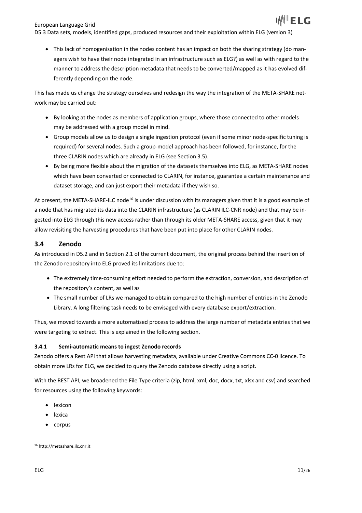D5.3 Data sets, models, identified gaps, produced resources and their exploitation within ELG (version 3)

• This lack of homogenisation in the nodes content has an impact on both the sharing strategy (do managers wish to have their node integrated in an infrastructure such as ELG?) as well as with regard to the manner to address the description metadata that needs to be converted/mapped as it has evolved differently depending on the node.

This has made us change the strategy ourselves and redesign the way the integration of the META-SHARE network may be carried out:

- By looking at the nodes as members of application groups, where those connected to other models may be addressed with a group model in mind.
- Group models allow us to design a single ingestion protocol (even if some minor node-specific tuning is required) for several nodes. Such a group-model approach has been followed, for instance, for the three CLARIN nodes which are already in ELG (see Section 3.5).
- By being more flexible about the migration of the datasets themselves into ELG, as META-SHARE nodes which have been converted or connected to CLARIN, for instance, guarantee a certain maintenance and dataset storage, and can just export their metadata if they wish so.

At present, the META-SHARE-ILC node<sup>16</sup> is under discussion with its managers given that it is a good example of a node that has migrated its data into the CLARIN infrastructure (as CLARIN ILC-CNR node) and that may be ingested into ELG through this new access rather than through its older META-SHARE access, given that it may allow revisiting the harvesting procedures that have been put into place for other CLARIN nodes.

#### **3.4 Zenodo**

As introduced in D5.2 and in Section 2.1 of the current document, the original process behind the insertion of the Zenodo repository into ELG proved its limitations due to:

- The extremely time-consuming effort needed to perform the extraction, conversion, and description of the repository's content, as well as
- The small number of LRs we managed to obtain compared to the high number of entries in the Zenodo Library. A long filtering task needs to be envisaged with every database export/extraction.

Thus, we moved towards a more automatised process to address the large number of metadata entries that we were targeting to extract. This is explained in the following section.

#### **3.4.1 Semi-automatic means to ingest Zenodo records**

Zenodo offers a Rest API that allows harvesting metadata, available under Creative Commons CC-0 licence. To obtain more LRs for ELG, we decided to query the Zenodo database directly using a script.

With the REST API, we broadened the File Type criteria (zip, html, xml, doc, docx, txt, xlsx and csv) and searched for resources using the following keywords:

- lexicon
- lexica
- corpus

<sup>16</sup> http://metashare.ilc.cnr.it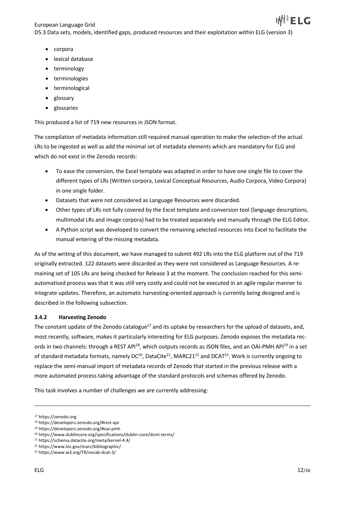European Language Grid D5.3 Data sets, models, identified gaps, produced resources and their exploitation within ELG (version 3)

- corpora
- lexical database
- terminology
- terminologies
- terminological
- glossary
- glossaries

This produced a list of 719 new resources in JSON format.

The compilation of metadata information still required manual operation to make the selection of the actual LRs to be ingested as well as add the minimal set of metadata elements which are mandatory for ELG and which do not exist in the Zenodo records:

- To ease the conversion, the Excel template was adapted in order to have one single file to cover the different types of LRs (Written corpora, Lexical Conceptual Resources, Audio Corpora, Video Corpora) in one single folder.
- Datasets that were not considered as Language Resources were discarded.
- Other types of LRs not fully covered by the Excel template and conversion tool (language descriptions, multimodal LRs and image corpora) had to be treated separately and manually through the ELG Editor.
- A Python script was developed to convert the remaining selected resources into Excel to facilitate the manual entering of the missing metadata.

As of the writing of this document, we have managed to submit 492 LRs into the ELG platform out of the 719 originally extracted. 122 datasets were discarded as they were not considered as Language Resources. A remaining set of 105 LRs are being checked for Release 3 at the moment. The conclusion reached for this semiautomatised process was that it was still very costly and could not be executed in an agile regular manner to integrate updates. Therefore, an automatic harvesting-oriented approach is currently being designed and is described in the following subsection.

#### **3.4.2 Harvesting Zenodo**

The constant update of the Zenodo catalogue<sup>17</sup> and its uptake by researchers for the upload of datasets, and, most recently, software, makes it particularly interesting for ELG purposes. Zenodo exposes the metadata records in two channels: through a REST API<sup>18</sup>, which outputs records as JSON files, and an OAI-PMH API<sup>19</sup> in a set of standard metadata formats, namely DC<sup>20</sup>, DataCite<sup>21</sup>, MARC21<sup>22</sup> and DCAT<sup>23</sup>. Work is currently ongoing to replace the semi-manual import of metadata records of Zenodo that started in the previous release with a more automated process taking advantage of the standard protocols and schemas offered by Zenodo.

This task involves a number of challenges we are currently addressing:

<sup>17</sup> https://zenodo.org

<sup>18</sup> https://developers.zenodo.org/#rest-api

<sup>19</sup> https://developers.zenodo.org/#oai-pmh

<sup>20</sup> https://www.dublincore.org/specifications/dublin-core/dcmi-terms/

<sup>21</sup> https://schema.datacite.org/meta/kernel-4.4/

<sup>22</sup> https://www.loc.gov/marc/bibliographic/

<sup>23</sup> https://www.w3.org/TR/vocab-dcat-3/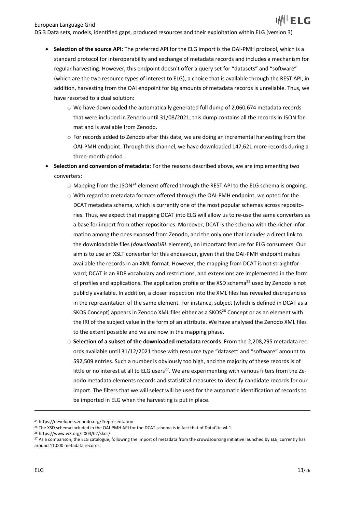- **Selection of the source API**: The preferred API for the ELG import is the OAI-PMH protocol, which is a standard protocol for interoperability and exchange of metadata records and includes a mechanism for regular harvesting. However, this endpoint doesn't offer a query set for "datasets" and "software" (which are the two resource types of interest to ELG), a choice that is available through the REST API; in addition, harvesting from the OAI endpoint for big amounts of metadata records is unreliable. Thus, we have resorted to a dual solution:
	- $\circ$  We have downloaded the automatically generated full dump of 2,060,674 metadata records that were included in Zenodo until 31/08/2021; this dump contains all the records in JSON format and is available from Zenodo.
	- $\circ$  For records added to Zenodo after this date, we are doing an incremental harvesting from the OAI-PMH endpoint. Through this channel, we have downloaded 147,621 more records during a three-month period.
- **Selection and conversion of metadata**: For the reasons described above, we are implementing two converters:
	- $\circ$  Mapping from the JSON<sup>24</sup> element offered through the REST API to the ELG schema is ongoing.
	- o With regard to metadata formats offered through the OAI-PMH endpoint, we opted for the DCAT metadata schema, which is currently one of the most popular schemas across repositories. Thus, we expect that mapping DCAT into ELG will allow us to re-use the same converters as a base for import from other repositories. Moreover, DCAT is the schema with the richer information among the ones exposed from Zenodo, and the only one that includes a direct link to the downloadable files (*downloadURL* element), an important feature for ELG consumers. Our aim is to use an XSLT converter for this endeavour, given that the OAI-PMH endpoint makes available the records in an XML format. However, the mapping from DCAT is not straightforward; DCAT is an RDF vocabulary and restrictions, and extensions are implemented in the form of profiles and applications. The application profile or the XSD schema<sup>25</sup> used by Zenodo is not publicly available. In addition, a closer inspection into the XML files has revealed discrepancies in the representation of the same element. For instance, subject (which is defined in DCAT as a SKOS Concept) appears in Zenodo XML files either as a SKOS<sup>26</sup> Concept or as an element with the IRI of the subject value in the form of an attribute. We have analysed the Zenodo XML files to the extent possible and we are now in the mapping phase.
	- o **Selection of a subset of the downloaded metadata records**: From the 2,208,295 metadata records available until 31/12/2021 those with resource type "dataset" and "software" amount to 592,509 entries. Such a number is obviously too high, and the majority of these records is of little or no interest at all to ELG users<sup>27</sup>. We are experimenting with various filters from the Zenodo metadata elements records and statistical measures to identify candidate records for our import. The filters that we will select will be used for the automatic identification of records to be imported in ELG when the harvesting is put in place.

<sup>24</sup> https://developers.zenodo.org/#representation

<sup>&</sup>lt;sup>25</sup> The XSD schema included in the OAI-PMH API for the DCAT schema is in fact that of DataCite v4.1.

<sup>26</sup> https://www.w3.org/2004/02/skos/

<sup>&</sup>lt;sup>27</sup> As a comparison, the ELG catalogue, following the import of metadata from the crowdsourcing initiative launched by ELE, currently has around 11,000 metadata records.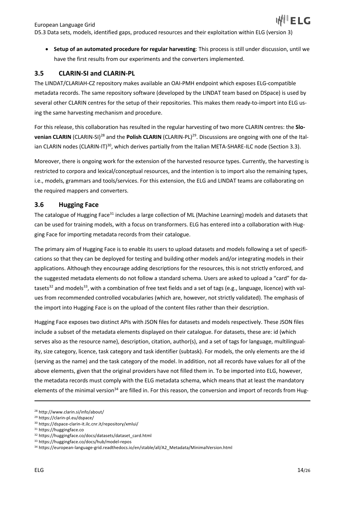European Language Grid D5.3 Data sets, models, identified gaps, produced resources and their exploitation within ELG (version 3)

• **Setup of an automated procedure for regular harvesting**: This process is still under discussion, until we have the first results from our experiments and the converters implemented.

#### **3.5 CLARIN-SI and CLARIN-PL**

The LINDAT/CLARIAH-CZ repository makes available an OAI-PMH endpoint which exposes ELG-compatible metadata records. The same repository software (developed by the LINDAT team based on DSpace) is used by several other CLARIN centres for the setup of their repositories. This makes them ready-to-import into ELG using the same harvesting mechanism and procedure.

For this release, this collaboration has resulted in the regular harvesting of two more CLARIN centres: the **Slovenian CLARIN** (CLARIN-SI) <sup>28</sup> and the **Polish CLARIN** (CLARIN-PL)29. Discussions are ongoing with one of the Italian CLARIN nodes (CLARIN-IT)<sup>30</sup>, which derives partially from the Italian META-SHARE-ILC node (Section 3.3).

Moreover, there is ongoing work for the extension of the harvested resource types. Currently, the harvesting is restricted to corpora and lexical/conceptual resources, and the intention is to import also the remaining types, i.e., models, grammars and tools/services. For this extension, the ELG and LINDAT teams are collaborating on the required mappers and converters.

#### **3.6 Hugging Face**

The catalogue of Hugging Face<sup>31</sup> includes a large collection of ML (Machine Learning) models and datasets that can be used for training models, with a focus on transformers. ELG has entered into a collaboration with Hugging Face for importing metadata records from their catalogue.

The primary aim of Hugging Face is to enable its users to upload datasets and models following a set of specifications so that they can be deployed for testing and building other models and/or integrating models in their applications. Although they encourage adding descriptions for the resources, this is not strictly enforced, and the suggested metadata elements do not follow a standard schema. Users are asked to upload a "card" for datasets<sup>32</sup> and models<sup>33</sup>, with a combination of free text fields and a set of tags (e.g., language, licence) with values from recommended controlled vocabularies (which are, however, not strictly validated). The emphasis of the import into Hugging Face is on the upload of the content files rather than their description.

Hugging Face exposes two distinct APIs with JSON files for datasets and models respectively. These JSON files include a subset of the metadata elements displayed on their catalogue. For datasets, these are: id (which serves also as the resource name), description, citation, author(s), and a set of tags for language, multilinguality, size category, licence, task category and task identifier (subtask). For models, the only elements are the id (serving as the name) and the task category of the model. In addition, not all records have values for all of the above elements, given that the original providers have not filled them in. To be imported into ELG, however, the metadata records must comply with the ELG metadata schema, which means that at least the mandatory elements of the minimal version<sup>34</sup> are filled in. For this reason, the conversion and import of records from Hug-

<sup>28</sup> http://www.clarin.si/info/about/

<sup>29</sup> https://clarin-pl.eu/dspace/

<sup>30</sup> https://dspace-clarin-it.ilc.cnr.it/repository/xmlui/

<sup>31</sup> https://huggingface.co

<sup>32</sup> https://huggingface.co/docs/datasets/dataset\_card.html

<sup>33</sup> https://huggingface.co/docs/hub/model-repos

<sup>34</sup> https://european-language-grid.readthedocs.io/en/stable/all/A2\_Metadata/MinimalVersion.html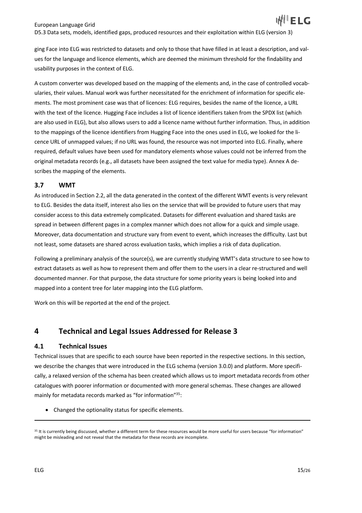A custom converter was developed based on the mapping of the elements and, in the case of controlled vocabularies, their values. Manual work was further necessitated for the enrichment of information for specific elements. The most prominent case was that of licences: ELG requires, besides the name of the licence, a URL with the text of the licence. Hugging Face includes a list of licence identifiers taken from the SPDX list (which are also used in ELG), but also allows users to add a licence name without further information. Thus, in addition to the mappings of the licence identifiers from Hugging Face into the ones used in ELG, we looked for the licence URL of unmapped values; if no URL was found, the resource was not imported into ELG. Finally, where required, default values have been used for mandatory elements whose values could not be inferred from the original metadata records (e.g., all datasets have been assigned the text value for media type). Annex A describes the mapping of the elements.

## **3.7 WMT**

As introduced in Section 2.2, all the data generated in the context of the different WMT events is very relevant to ELG. Besides the data itself, interest also lies on the service that will be provided to future users that may consider access to this data extremely complicated. Datasets for different evaluation and shared tasks are spread in between different pages in a complex manner which does not allow for a quick and simple usage. Moreover, data documentation and structure vary from event to event, which increases the difficulty. Last but not least, some datasets are shared across evaluation tasks, which implies a risk of data duplication.

Following a preliminary analysis of the source(s), we are currently studying WMT's data structure to see how to extract datasets as well as how to represent them and offer them to the users in a clear re-structured and well documented manner. For that purpose, the data structure for some priority years is being looked into and mapped into a content tree for later mapping into the ELG platform.

Work on this will be reported at the end of the project.

# **4 Technical and Legal Issues Addressed for Release 3**

## **4.1 Technical Issues**

Technical issues that are specific to each source have been reported in the respective sections. In this section, we describe the changes that were introduced in the ELG schema (version 3.0.0) and platform. More specifically, a relaxed version of the schema has been created which allows us to import metadata records from other catalogues with poorer information or documented with more general schemas. These changes are allowed mainly for metadata records marked as "for information"<sup>35</sup>:

• Changed the optionality status for specific elements.

<sup>&</sup>lt;sup>35</sup> It is currently being discussed, whether a different term for these resources would be more useful for users because "for information" might be misleading and not reveal that the metadata for these records are incomplete.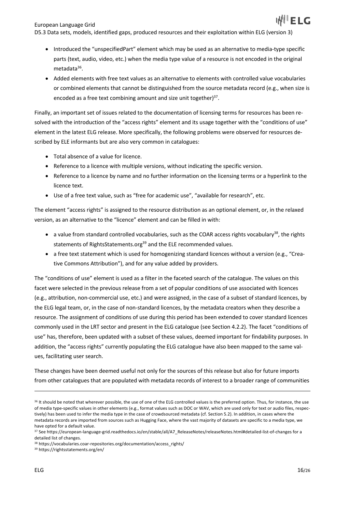European Language Grid

- Introduced the "unspecifiedPart" element which may be used as an alternative to media-type specific parts (text, audio, video, etc.) when the media type value of a resource is not encoded in the original metadata<sup>36</sup>.
- Added elements with free text values as an alternative to elements with controlled value vocabularies or combined elements that cannot be distinguished from the source metadata record (e.g., when size is encoded as a free text combining amount and size unit together) $37$ .

Finally, an important set of issues related to the documentation of licensing terms for resources has been resolved with the introduction of the "access rights" element and its usage together with the "conditions of use" element in the latest ELG release. More specifically, the following problems were observed for resources described by ELE informants but are also very common in catalogues:

- Total absence of a value for licence.
- Reference to a licence with multiple versions, without indicating the specific version.
- Reference to a licence by name and no further information on the licensing terms or a hyperlink to the licence text.
- Use of a free text value, such as "free for academic use", "available for research", etc.

The element "access rights" is assigned to the resource distribution as an optional element, or, in the relaxed version, as an alternative to the "licence" element and can be filled in with:

- a value from standard controlled vocabularies, such as the COAR access rights vocabulary<sup>38</sup>, the rights statements of RightsStatements.org<sup>39</sup> and the ELE recommended values.
- a free text statement which is used for homogenizing standard licences without a version (e.g., "Creative Commons Attribution"), and for any value added by providers.

The "conditions of use" element is used as a filter in the faceted search of the catalogue. The values on this facet were selected in the previous release from a set of popular conditions of use associated with licences (e.g., attribution, non-commercial use, etc.) and were assigned, in the case of a subset of standard licences, by the ELG legal team, or, in the case of non-standard licences, by the metadata creators when they describe a resource. The assignment of conditions of use during this period has been extended to cover standard licences commonly used in the LRT sector and present in the ELG catalogue (see Section 4.2.2). The facet "conditions of use" has, therefore, been updated with a subset of these values, deemed important for findability purposes. In addition, the "access rights" currently populating the ELG catalogue have also been mapped to the same values, facilitating user search.

These changes have been deemed useful not only for the sources of this release but also for future imports from other catalogues that are populated with metadata records of interest to a broader range of communities

<sup>&</sup>lt;sup>36</sup> It should be noted that wherever possible, the use of one of the ELG controlled values is the preferred option. Thus, for instance, the use of media type-specific values in other elements (e.g., format values such as DOC or WAV, which are used only for text or audio files, respectively) has been used to infer the media type in the case of crowdsourced metadata (cf. Section 5.2). In addition, in cases where the metadata records are imported from sources such as Hugging Face, where the vast majority of datasets are specific to a media type, we have opted for a default value.

<sup>37</sup> See https://european-language-grid.readthedocs.io/en/stable/all/A7\_ReleaseNotes/releaseNotes.html#detailed-list-of-changes for a detailed list of changes.

<sup>38</sup> https://vocabularies.coar-repositories.org/documentation/access\_rights/

<sup>39</sup> https://rightsstatements.org/en/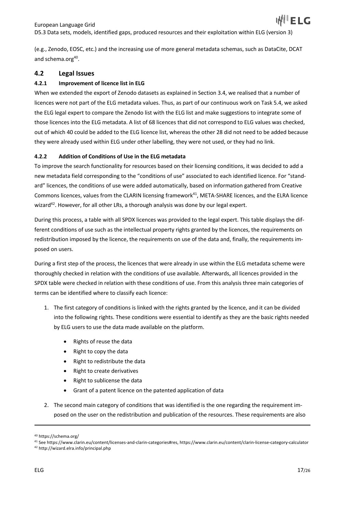(e.g., Zenodo, EOSC, etc.) and the increasing use of more general metadata schemas, such as DataCite, DCAT and schema.org<sup>40</sup>.

## **4.2 Legal Issues**

#### **4.2.1 Improvement of licence list in ELG**

When we extended the export of Zenodo datasets as explained in Section 3.4, we realised that a number of licences were not part of the ELG metadata values. Thus, as part of our continuous work on Task 5.4, we asked the ELG legal expert to compare the Zenodo list with the ELG list and make suggestions to integrate some of those licences into the ELG metadata. A list of 68 licences that did not correspond to ELG values was checked, out of which 40 could be added to the ELG licence list, whereas the other 28 did not need to be added because they were already used within ELG under other labelling, they were not used, or they had no link.

#### **4.2.2 Addition of Conditions of Use in the ELG metadata**

To improve the search functionality for resources based on their licensing conditions, it was decided to add a new metadata field corresponding to the "conditions of use" associated to each identified licence. For "standard" licences, the conditions of use were added automatically, based on information gathered from Creative Commons licences, values from the CLARIN licensing framework<sup>41</sup>, META-SHARE licences, and the ELRA licence wizard<sup>42</sup>. However, for all other LRs, a thorough analysis was done by our legal expert.

During this process, a table with all SPDX licences was provided to the legal expert. This table displays the different conditions of use such as the intellectual property rights granted by the licences, the requirements on redistribution imposed by the licence, the requirements on use of the data and, finally, the requirements imposed on users.

During a first step of the process, the licences that were already in use within the ELG metadata scheme were thoroughly checked in relation with the conditions of use available. Afterwards, all licences provided in the SPDX table were checked in relation with these conditions of use. From this analysis three main categories of terms can be identified where to classify each licence:

- 1. The first category of conditions is linked with the rights granted by the licence, and it can be divided into the following rights. These conditions were essential to identify as they are the basic rights needed by ELG users to use the data made available on the platform.
	- Rights of reuse the data
	- Right to copy the data
	- Right to redistribute the data
	- Right to create derivatives
	- Right to sublicense the data
	- Grant of a patent licence on the patented application of data
- 2. The second main category of conditions that was identified is the one regarding the requirement imposed on the user on the redistribution and publication of the resources. These requirements are also

<sup>40</sup> https://schema.org/

<sup>41</sup> See https://www.clarin.eu/content/licenses-and-clarin-categories#res, https://www.clarin.eu/content/clarin-license-category-calculator <sup>42</sup> http://wizard.elra.info/principal.php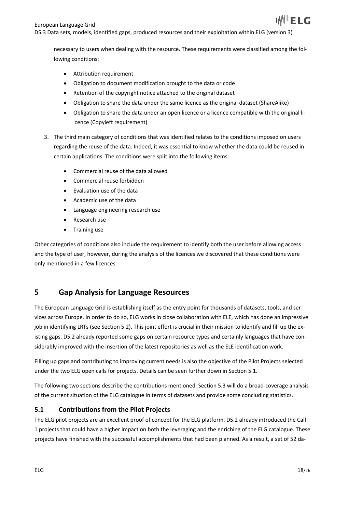necessary to users when dealing with the resource. These requirements were classified among the following conditions:

- Attribution requirement
- Obligation to document modification brought to the data or code
- Retention of the copyright notice attached to the original dataset
- Obligation to share the data under the same licence as the original dataset (ShareAlike)
- Obligation to share the data under an open licence or a licence compatible with the original licence (Copyleft requirement)
- 3. The third main category of conditions that was identified relates to the conditions imposed on users regarding the reuse of the data. Indeed, it was essential to know whether the data could be reused in certain applications. The conditions were split into the following items:
	- Commercial reuse of the data allowed
	- Commercial reuse forbidden
	- Evaluation use of the data
	- Academic use of the data
	- Language engineering research use
	- Research use
	- Training use

Other categories of conditions also include the requirement to identify both the user before allowing access and the type of user, however, during the analysis of the licences we discovered that these conditions were only mentioned in a few licences.

## **5 Gap Analysis for Language Resources**

The European Language Grid is establishing itself as the entry point for thousands of datasets, tools, and services across Europe. In order to do so, ELG works in close collaboration with ELE, which has done an impressive job in identifying LRTs (see Section 5.2). This joint effort is crucial in their mission to identify and fill up the existing gaps. D5.2 already reported some gaps on certain resource types and certainly languages that have considerably improved with the insertion of the latest repositories as well as the ELE identification work.

Filling up gaps and contributing to improving current needs is also the objective of the Pilot Projects selected under the two ELG open calls for projects. Details can be seen further down in Section 5.1.

The following two sections describe the contributions mentioned. Section 5.3 will do a broad-coverage analysis of the current situation of the ELG catalogue in terms of datasets and provide some concluding statistics.

#### **5.1 Contributions from the Pilot Projects**

The ELG pilot projects are an excellent proof of concept for the ELG platform. D5.2 already introduced the Call 1 projects that could have a higher impact on both the leveraging and the enriching of the ELG catalogue. These projects have finished with the successful accomplishments that had been planned. As a result, a set of 52 da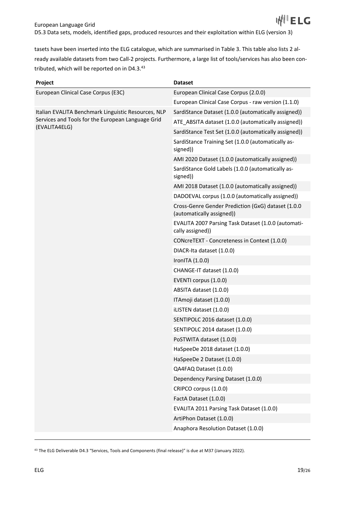tasets have been inserted into the ELG catalogue, which are summarised in Table 3. This table also lists 2 already available datasets from two Call-2 projects. Furthermore, a large list of tools/services has also been contributed, which will be reported on in D4.3.43

| Project                                                                                                  | <b>Dataset</b>                                                                  |
|----------------------------------------------------------------------------------------------------------|---------------------------------------------------------------------------------|
| European Clinical Case Corpus (E3C)                                                                      | European Clinical Case Corpus (2.0.0)                                           |
|                                                                                                          | European Clinical Case Corpus - raw version (1.1.0)                             |
| Italian EVALITA Benchmark Linguistic Resources, NLP<br>Services and Tools for the European Language Grid | SardiStance Dataset (1.0.0 (automatically assigned))                            |
|                                                                                                          | ATE ABSITA dataset (1.0.0 (automatically assigned))                             |
| (EVALITA4ELG)                                                                                            | SardiStance Test Set (1.0.0 (automatically assigned))                           |
|                                                                                                          | SardiStance Training Set (1.0.0 (automatically as-<br>signed))                  |
|                                                                                                          | AMI 2020 Dataset (1.0.0 (automatically assigned))                               |
|                                                                                                          | SardiStance Gold Labels (1.0.0 (automatically as-<br>signed))                   |
|                                                                                                          | AMI 2018 Dataset (1.0.0 (automatically assigned))                               |
|                                                                                                          | DADOEVAL corpus (1.0.0 (automatically assigned))                                |
|                                                                                                          | Cross-Genre Gender Prediction (GxG) dataset (1.0.0<br>(automatically assigned)) |
|                                                                                                          | EVALITA 2007 Parsing Task Dataset (1.0.0 (automati-<br>cally assigned))         |
|                                                                                                          | CONcreTEXT - Concreteness in Context (1.0.0)                                    |
|                                                                                                          | DIACR-Ita dataset (1.0.0)                                                       |
|                                                                                                          | IronITA (1.0.0)                                                                 |
|                                                                                                          | CHANGE-IT dataset (1.0.0)                                                       |
|                                                                                                          | EVENTI corpus (1.0.0)                                                           |
|                                                                                                          | ABSITA dataset (1.0.0)                                                          |
|                                                                                                          | ITAmoji dataset (1.0.0)                                                         |
|                                                                                                          | iLISTEN dataset (1.0.0)                                                         |
|                                                                                                          | SENTIPOLC 2016 dataset (1.0.0)                                                  |
|                                                                                                          | SENTIPOLC 2014 dataset (1.0.0)                                                  |
|                                                                                                          | PoSTWITA dataset (1.0.0)                                                        |
|                                                                                                          | HaSpeeDe 2018 dataset (1.0.0)                                                   |
|                                                                                                          | HaSpeeDe 2 Dataset (1.0.0)                                                      |
|                                                                                                          | QA4FAQ Dataset (1.0.0)                                                          |
|                                                                                                          | Dependency Parsing Dataset (1.0.0)                                              |
|                                                                                                          | CRIPCO corpus (1.0.0)                                                           |
|                                                                                                          | FactA Dataset (1.0.0)                                                           |
|                                                                                                          | EVALITA 2011 Parsing Task Dataset (1.0.0)                                       |
|                                                                                                          | ArtiPhon Dataset (1.0.0)                                                        |
|                                                                                                          | Anaphora Resolution Dataset (1.0.0)                                             |

<sup>43</sup> The ELG Deliverable D4.3 "Services, Tools and Components (final release)" is due at M37 (January 2022).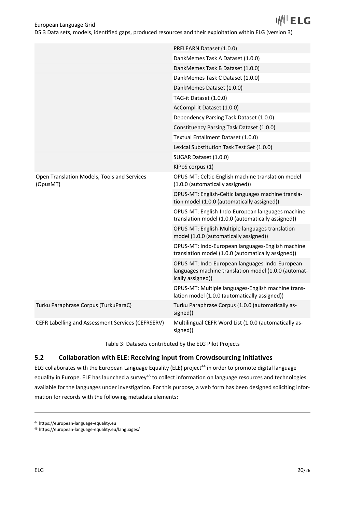|                                                         | PRELEARN Dataset (1.0.0)                                                                                                    |
|---------------------------------------------------------|-----------------------------------------------------------------------------------------------------------------------------|
|                                                         | DankMemes Task A Dataset (1.0.0)                                                                                            |
|                                                         | DankMemes Task B Dataset (1.0.0)                                                                                            |
|                                                         | DankMemes Task C Dataset (1.0.0)                                                                                            |
|                                                         | DankMemes Dataset (1.0.0)                                                                                                   |
|                                                         | TAG-it Dataset (1.0.0)                                                                                                      |
|                                                         | AcCompl-it Dataset (1.0.0)                                                                                                  |
|                                                         | Dependency Parsing Task Dataset (1.0.0)                                                                                     |
|                                                         | Constituency Parsing Task Dataset (1.0.0)                                                                                   |
|                                                         | Textual Entailment Dataset (1.0.0)                                                                                          |
|                                                         | Lexical Substitution Task Test Set (1.0.0)                                                                                  |
|                                                         | SUGAR Dataset (1.0.0)                                                                                                       |
|                                                         | KIPoS corpus (1)                                                                                                            |
| Open Translation Models, Tools and Services<br>(OpusMT) | OPUS-MT: Celtic-English machine translation model<br>(1.0.0 (automatically assigned))                                       |
|                                                         | OPUS-MT: English-Celtic languages machine transla-<br>tion model (1.0.0 (automatically assigned))                           |
|                                                         | OPUS-MT: English-Indo-European languages machine<br>translation model (1.0.0 (automatically assigned))                      |
|                                                         | OPUS-MT: English-Multiple languages translation<br>model (1.0.0 (automatically assigned))                                   |
|                                                         | OPUS-MT: Indo-European languages-English machine<br>translation model (1.0.0 (automatically assigned))                      |
|                                                         | OPUS-MT: Indo-European languages-Indo-European<br>languages machine translation model (1.0.0 (automat-<br>ically assigned)) |
|                                                         | OPUS-MT: Multiple languages-English machine trans-<br>lation model (1.0.0 (automatically assigned))                         |
| Turku Paraphrase Corpus (TurkuParaC)                    | Turku Paraphrase Corpus (1.0.0 (automatically as-<br>signed))                                                               |
| CEFR Labelling and Assessment Services (CEFRSERV)       | Multilingual CEFR Word List (1.0.0 (automatically as-<br>signed))                                                           |

Table 3: Datasets contributed by the ELG Pilot Projects

## **5.2 Collaboration with ELE: Receiving input from Crowdsourcing Initiatives**

ELG collaborates with the European Language Equality (ELE) project<sup>44</sup> in order to promote digital language equality in Europe. ELE has launched a survey<sup>45</sup> to collect information on language resources and technologies available for the languages under investigation. For this purpose, a web form has been designed soliciting information for records with the following metadata elements:

<sup>44</sup> https://european-language-equality.eu

<sup>45</sup> https://european-language-equality.eu/languages/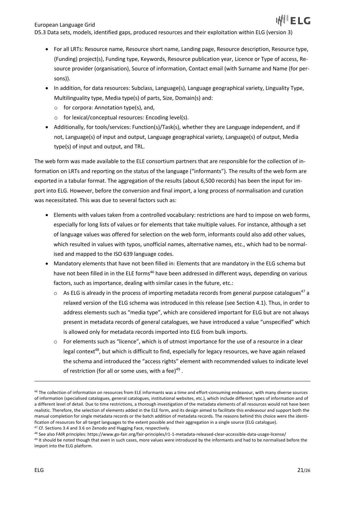- For all LRTs: Resource name, Resource short name, Landing page, Resource description, Resource type, (Funding) project(s), Funding type, Keywords, Resource publication year, Licence or Type of access, Resource provider (organisation), Source of information, Contact email (with Surname and Name (for persons)).
- In addition, for data resources: Subclass, Language(s), Language geographical variety, Linguality Type, Multilinguality type, Media type(s) of parts, Size, Domain(s) and:
	- o for corpora: Annotation type(s), and,
	- o for lexical/conceptual resources: Encoding level(s).
- Additionally, for tools/services: Function(s)/Task(s), whether they are Language independent, and if not, Language(s) of input and output, Language geographical variety, Language(s) of output, Media type(s) of input and output, and TRL.

The web form was made available to the ELE consortium partners that are responsible for the collection of information on LRTs and reporting on the status of the language ("informants"). The results of the web form are exported in a tabular format. The aggregation of the results (about 6,500 records) has been the input for import into ELG. However, before the conversion and final import, a long process of normalisation and curation was necessitated. This was due to several factors such as:

- Elements with values taken from a controlled vocabulary: restrictions are hard to impose on web forms, especially for long lists of values or for elements that take multiple values. For instance, although a set of language values was offered for selection on the web form, informants could also add other values, which resulted in values with typos, unofficial names, alternative names, etc., which had to be normalised and mapped to the ISO 639 language codes.
- Mandatory elements that have not been filled in: Elements that are mandatory in the ELG schema but have not been filled in in the ELE forms<sup>46</sup> have been addressed in different ways, depending on various factors, such as importance, dealing with similar cases in the future, etc.:
	- $\circ$  As ELG is already in the process of importing metadata records from general purpose catalogues<sup>47</sup> a relaxed version of the ELG schema was introduced in this release (see Section 4.1). Thus, in order to address elements such as "media type", which are considered important for ELG but are not always present in metadata records of general catalogues, we have introduced a value "unspecified" which is allowed only for metadata records imported into ELG from bulk imports.
	- o For elements such as "licence", which is of utmost importance for the use of a resource in a clear legal context<sup>48</sup>, but which is difficult to find, especially for legacy resources, we have again relaxed the schema and introduced the "access rights" element with recommended values to indicate level of restriction (for all or some uses, with a fee) $49$ .

<sup>46</sup> The collection of information on resources from ELE informants was a time and effort-consuming endeavour, with many diverse sources of information (specialised catalogues, general catalogues, institutional websites, etc.), which include different types of information and of a different level of detail. Due to time restrictions, a thorough investigation of the metadata elements of all resources would not have been realistic. Therefore, the selection of elements added in the ELE form, and its design aimed to facilitate this endeavour and support both the manual completion for single metadata records or the batch addition of metadata records. The reasons behind this choice were the identification of resources for all target languages to the extent possible and their aggregation in a single source (ELG catalogue). <sup>47</sup> Cf. Sections 3.4 and 3.6 on Zenodo and Hugging Face, respectively.

<sup>48</sup> See also FAIR principles: https://www.go-fair.org/fair-principles/r1-1-metadata-released-clear-accessible-data-usage-license/

<sup>49</sup> It should be noted though that even in such cases, more values were introduced by the informants and had to be normalised before the import into the ELG platform.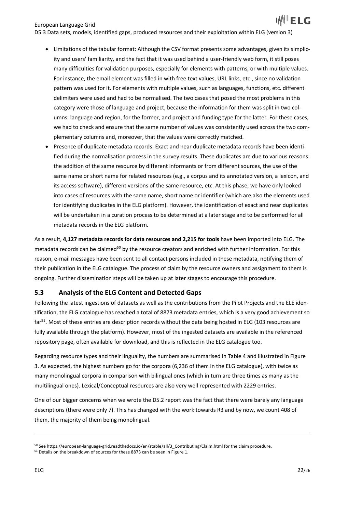D5.3 Data sets, models, identified gaps, produced resources and their exploitation within ELG (version 3)

- Limitations of the tabular format: Although the CSV format presents some advantages, given its simplicity and users' familiarity, and the fact that it was used behind a user-friendly web form, it still poses many difficulties for validation purposes, especially for elements with patterns, or with multiple values. For instance, the email element was filled in with free text values, URL links, etc., since no validation pattern was used for it. For elements with multiple values, such as languages, functions, etc. different delimiters were used and had to be normalised. The two cases that posed the most problems in this category were those of language and project, because the information for them was split in two columns: language and region, for the former, and project and funding type for the latter. For these cases, we had to check and ensure that the same number of values was consistently used across the two complementary columns and, moreover, that the values were correctly matched.
- Presence of duplicate metadata records: Exact and near duplicate metadata records have been identified during the normalisation process in the survey results. These duplicates are due to various reasons: the addition of the same resource by different informants or from different sources, the use of the same name or short name for related resources (e.g., a corpus and its annotated version, a lexicon, and its access software), different versions of the same resource, etc. At this phase, we have only looked into cases of resources with the same name, short name or identifier (which are also the elements used for identifying duplicates in the ELG platform). However, the identification of exact and near duplicates will be undertaken in a curation process to be determined at a later stage and to be performed for all metadata records in the ELG platform.

As a result, **4,127 metadata records for data resources and 2,215 for tools** have been imported into ELG. The metadata records can be claimed<sup>50</sup> by the resource creators and enriched with further information. For this reason, e-mail messages have been sent to all contact persons included in these metadata, notifying them of their publication in the ELG catalogue. The process of claim by the resource owners and assignment to them is ongoing. Further dissemination steps will be taken up at later stages to encourage this procedure.

#### **5.3 Analysis of the ELG Content and Detected Gaps**

Following the latest ingestions of datasets as well as the contributions from the Pilot Projects and the ELE identification, the ELG catalogue has reached a total of 8873 metadata entries, which is a very good achievement so far<sup>51</sup>. Most of these entries are description records without the data being hosted in ELG (103 resources are fully available through the platform). However, most of the ingested datasets are available in the referenced repository page, often available for download, and this is reflected in the ELG catalogue too.

Regarding resource types and their linguality, the numbers are summarised in Table 4 and illustrated in Figure 3. As expected, the highest numbers go for the corpora (6,236 of them in the ELG catalogue), with twice as many monolingual corpora in comparison with bilingual ones (which in turn are three times as many as the multilingual ones). Lexical/Conceptual resources are also very well represented with 2229 entries.

One of our bigger concerns when we wrote the D5.2 report was the fact that there were barely any language descriptions (there were only 7). This has changed with the work towards R3 and by now, we count 408 of them, the majority of them being monolingual.

<sup>50</sup> See https://european-language-grid.readthedocs.io/en/stable/all/3\_Contributing/Claim.html for the claim procedure.

<sup>&</sup>lt;sup>51</sup> Details on the breakdown of sources for these 8873 can be seen in Figure 1.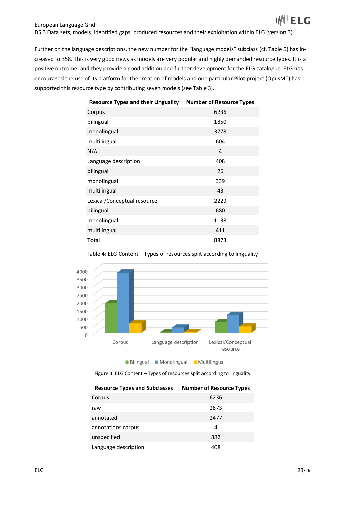Further on the language descriptions, the new number for the "language models" subclass (cf. Table 5) has increased to 358. This is very good news as models are very popular and highly demanded resource types. It is a positive outcome, and they provide a good addition and further development for the ELG catalogue. ELG has encouraged the use of its platform for the creation of models and one particular Pilot project (OpusMT) has supported this resource type by contributing seven models (see Table 3).

| <b>Resource Types and their Linguality</b> | <b>Number of Resource Types</b> |
|--------------------------------------------|---------------------------------|
| Corpus                                     | 6236                            |
| bilingual                                  | 1850                            |
| monolingual                                | 3778                            |
| multilingual                               | 604                             |
| N/A                                        | 4                               |
| Language description                       | 408                             |
| bilingual                                  | 26                              |
| monolingual                                | 339                             |
| multilingual                               | 43                              |
| Lexical/Conceptual resource                | 2229                            |
| bilingual                                  | 680                             |
| monolingual                                | 1138                            |
| multilingual                               | 411                             |
| Total                                      | 8873                            |



Table 4: ELG Content – Types of resources split according to linguality

Figure 3: ELG Content – Types of resources split according to linguality

| <b>Resource Types and Subclasses</b> | <b>Number of Resource Types</b> |
|--------------------------------------|---------------------------------|
| Corpus                               | 6236                            |
| raw                                  | 2873                            |
| annotated                            | 2477                            |
| annotations corpus                   | 4                               |
| unspecified                          | 882                             |
| Language description                 | 408                             |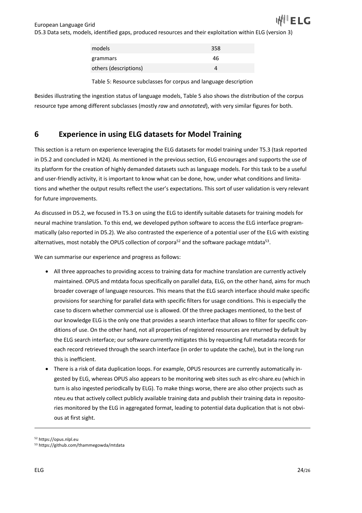| models                | 358 |
|-----------------------|-----|
| grammars              | 46  |
| others (descriptions) |     |

Table 5: Resource subclasses for corpus and language description

Besides illustrating the ingestion status of language models, Table 5 also shows the distribution of the corpus resource type among different subclasses (mostly *raw* and *annotated*), with very similar figures for both.

# **6 Experience in using ELG datasets for Model Training**

This section is a return on experience leveraging the ELG datasets for model training under T5.3 (task reported in D5.2 and concluded in M24). As mentioned in the previous section, ELG encourages and supports the use of its platform for the creation of highly demanded datasets such as language models. For this task to be a useful and user-friendly activity, it is important to know what can be done, how, under what conditions and limitations and whether the output results reflect the user's expectations. This sort of user validation is very relevant for future improvements.

As discussed in D5.2, we focused in T5.3 on using the ELG to identify suitable datasets for training models for neural machine translation. To this end, we developed python software to access the ELG interface programmatically (also reported in D5.2). We also contrasted the experience of a potential user of the ELG with existing alternatives, most notably the OPUS collection of corpora<sup>52</sup> and the software package mtdata<sup>53</sup>.

We can summarise our experience and progress as follows:

- All three approaches to providing access to training data for machine translation are currently actively maintained. OPUS and mtdata focus specifically on parallel data, ELG, on the other hand, aims for much broader coverage of language resources. This means that the ELG search interface should make specific provisions for searching for parallel data with specific filters for usage conditions. This is especially the case to discern whether commercial use is allowed. Of the three packages mentioned, to the best of our knowledge ELG is the only one that provides a search interface that allows to filter for specific conditions of use. On the other hand, not all properties of registered resources are returned by default by the ELG search interface; our software currently mitigates this by requesting full metadata records for each record retrieved through the search interface (in order to update the cache), but in the long run this is inefficient.
- There is a risk of data duplication loops. For example, OPUS resources are currently automatically ingested by ELG, whereas OPUS also appears to be monitoring web sites such as elrc-share.eu (which in turn is also ingested periodically by ELG). To make things worse, there are also other projects such as nteu.eu that actively collect publicly available training data and publish their training data in repositories monitored by the ELG in aggregated format, leading to potential data duplication that is not obvious at first sight.

<sup>52</sup> https://opus.nlpl.eu

<sup>53</sup> https://github.com/thammegowda/mtdata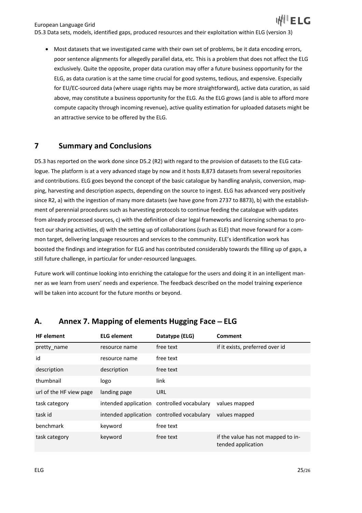ELG European Language Grid D5.3 Data sets, models, identified gaps, produced resources and their exploitation within ELG (version 3)

• Most datasets that we investigated came with their own set of problems, be it data encoding errors, poor sentence alignments for allegedly parallel data, etc. This is a problem that does not affect the ELG exclusively. Quite the opposite, proper data curation may offer a future business opportunity for the ELG, as data curation is at the same time crucial for good systems, tedious, and expensive. Especially for EU/EC-sourced data (where usage rights may be more straightforward), active data curation, as said above, may constitute a business opportunity for the ELG. As the ELG grows (and is able to afford more compute capacity through incoming revenue), active quality estimation for uploaded datasets might be an attractive service to be offered by the ELG.

## **7 Summary and Conclusions**

D5.3 has reported on the work done since D5.2 (R2) with regard to the provision of datasets to the ELG catalogue. The platform is at a very advanced stage by now and it hosts 8,873 datasets from several repositories and contributions. ELG goes beyond the concept of the basic catalogue by handling analysis, conversion, mapping, harvesting and description aspects, depending on the source to ingest. ELG has advanced very positively since R2, a) with the ingestion of many more datasets (we have gone from 2737 to 8873), b) with the establishment of perennial procedures such as harvesting protocols to continue feeding the catalogue with updates from already processed sources, c) with the definition of clear legal frameworks and licensing schemas to protect our sharing activities, d) with the setting up of collaborations (such as ELE) that move forward for a common target, delivering language resources and services to the community. ELE's identification work has boosted the findings and integration for ELG and has contributed considerably towards the filling up of gaps, a still future challenge, in particular for under-resourced languages.

Future work will continue looking into enriching the catalogue for the users and doing it in an intelligent manner as we learn from users' needs and experience. The feedback described on the model training experience will be taken into account for the future months or beyond.

| <b>HF</b> element       | <b>ELG element</b> | Datatype (ELG)                             | <b>Comment</b>                                           |
|-------------------------|--------------------|--------------------------------------------|----------------------------------------------------------|
| pretty name             | resource name      | free text                                  | if it exists, preferred over id                          |
| id                      | resource name      | free text                                  |                                                          |
| description             | description        | free text                                  |                                                          |
| thumbnail               | logo               | link                                       |                                                          |
| url of the HF view page | landing page       | <b>URL</b>                                 |                                                          |
| task category           |                    | intended application controlled vocabulary | values mapped                                            |
| task id                 |                    | intended application controlled vocabulary | values mapped                                            |
| benchmark               | keyword            | free text                                  |                                                          |
| task category           | keyword            | free text                                  | if the value has not mapped to in-<br>tended application |

## **A.** Annex 7. Mapping of elements Hugging Face – ELG